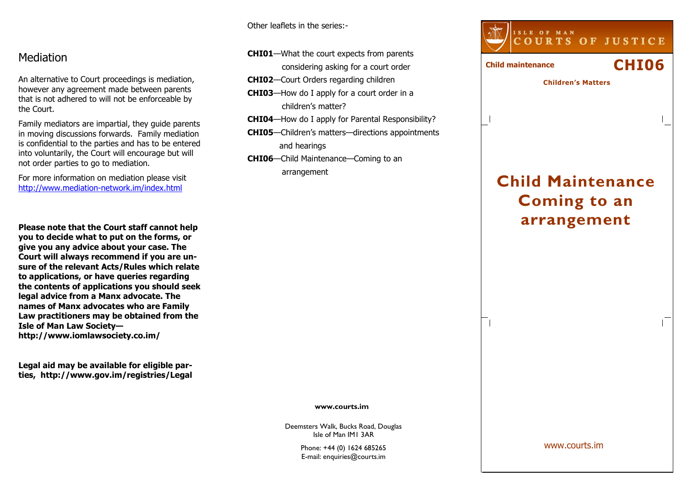Other leaflets in the series:-

CHI01—What the court expects from parents

CHI03—How do I apply for a court order in a

CHI06—Child Maintenance—Coming to an

CHI02—Court Orders regarding children

children's matter?

and hearings

arrangement

considering asking for a court order

## Mediation

An alternative to Court proceedings is mediation, however any agreement made between parents that is not adhered to will not be enforceable by the Court.

Family mediators are impartial, they guide parents in moving discussions forwards. Family mediation is confidential to the parties and has to be entered into voluntarily, the Court will encourage but willnot order parties to go to mediation.

For more information on mediation please visit http://www.mediation-network.im/index.html

Please note that the Court staff cannot help you to decide what to put on the forms, or give you any advice about your case. The Court will always recommend if you are unsure of the relevant Acts/Rules which relate to applications, or have queries regarding the contents of applications you should seek legal advice from a Manx advocate. The names of Manx advocates who are Family Law practitioners may be obtained from the Isle of Man Law Societyhttp://www.iomlawsociety.co.im/

Legal aid may be available for eligible parties, http://www.gov.im/registries/Legal



#### www.courts.im

Deemsters Walk, Bucks Road, Douglas Isle of Man IM1 3AR

> Phone: +44 (0) 1624 685265 E-mail: enquiries@courts.im

www.courts.im